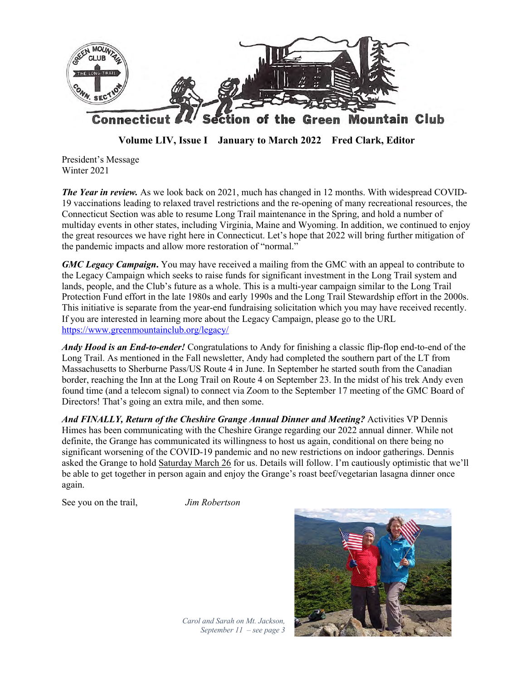

**Volume LIV, Issue I January to March 2022 Fred Clark, Editor**

President's Message Winter 2021

*The Year in review.* As we look back on 2021, much has changed in 12 months. With widespread COVID-19 vaccinations leading to relaxed travel restrictions and the re-opening of many recreational resources, the Connecticut Section was able to resume Long Trail maintenance in the Spring, and hold a number of multiday events in other states, including Virginia, Maine and Wyoming. In addition, we continued to enjoy the great resources we have right here in Connecticut. Let's hope that 2022 will bring further mitigation of the pandemic impacts and allow more restoration of "normal."

*GMC Legacy Campaign***.** You may have received a mailing from the GMC with an appeal to contribute to the Legacy Campaign which seeks to raise funds for significant investment in the Long Trail system and lands, people, and the Club's future as a whole. This is a multi-year campaign similar to the Long Trail Protection Fund effort in the late 1980s and early 1990s and the Long Trail Stewardship effort in the 2000s. This initiative is separate from the year-end fundraising solicitation which you may have received recently. If you are interested in learning more about the Legacy Campaign, please go to the URL https://www.greenmountainclub.org/legacy/

*Andy Hood is an End-to-ender!* Congratulations to Andy for finishing a classic flip-flop end-to-end of the Long Trail. As mentioned in the Fall newsletter, Andy had completed the southern part of the LT from Massachusetts to Sherburne Pass/US Route 4 in June. In September he started south from the Canadian border, reaching the Inn at the Long Trail on Route 4 on September 23. In the midst of his trek Andy even found time (and a telecom signal) to connect via Zoom to the September 17 meeting of the GMC Board of Directors! That's going an extra mile, and then some.

*And FINALLY, Return of the Cheshire Grange Annual Dinner and Meeting?* Activities VP Dennis Himes has been communicating with the Cheshire Grange regarding our 2022 annual dinner. While not definite, the Grange has communicated its willingness to host us again, conditional on there being no significant worsening of the COVID-19 pandemic and no new restrictions on indoor gatherings. Dennis asked the Grange to hold Saturday March 26 for us. Details will follow. I'm cautiously optimistic that we'll be able to get together in person again and enjoy the Grange's roast beef/vegetarian lasagna dinner once again.

See you on the trail, *Jim Robertson*



*Carol and Sarah on Mt. Jackson, September 11 – see page 3*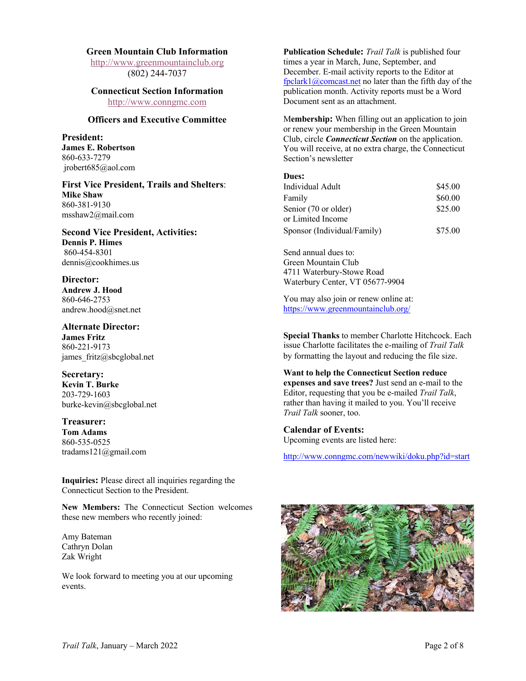#### **Green Mountain Club Information**

http://www.greenmountainclub.org (802) 244-7037

# **Connecticut Section Information**

http://www.conngmc.com

# **Officers and Executive Committee**

**President: James E. Robertson** 860-633-7279 jrobert685@aol.com

**First Vice President, Trails and Shelters**: **Mike Shaw** 860-381-9130 msshaw2@mail.com

**Second Vice President, Activities: Dennis P. Himes** 860-454-8301 dennis@cookhimes.us

**Director: Andrew J. Hood** 860-646-2753 andrew.hood@snet.net

**Alternate Director: James Fritz** 860-221-9173 james fritz@sbcglobal.net

**Secretary: Kevin T. Burke** 203-729-1603 burke-kevin@sbcglobal.net

**Treasurer: Tom Adams** 860-535-0525 tradams121@gmail.com

**Inquiries:** Please direct all inquiries regarding the Connecticut Section to the President.

**New Members:** The Connecticut Section welcomes these new members who recently joined:

Amy Bateman Cathryn Dolan Zak Wright

We look forward to meeting you at our upcoming events.

**Publication Schedule:** *Trail Talk* is published four times a year in March, June, September, and December. E-mail activity reports to the Editor at fpclark1@comcast.net no later than the fifth day of the publication month. Activity reports must be a Word Document sent as an attachment.

M**embership:** When filling out an application to join or renew your membership in the Green Mountain Club, circle *Connecticut Section* on the application. You will receive, at no extra charge, the Connecticut Section's newsletter

#### **Dues:**

| Individual Adult            | \$45.00 |
|-----------------------------|---------|
| Family                      | \$60.00 |
| Senior (70 or older)        | \$25.00 |
| or Limited Income           |         |
| Sponsor (Individual/Family) | \$75.00 |

Send annual dues to: Green Mountain Club 4711 Waterbury-Stowe Road Waterbury Center, VT 05677-9904

You may also join or renew online at: https://www.greenmountainclub.org/

**Special Thanks** to member Charlotte Hitchcock. Each issue Charlotte facilitates the e-mailing of *Trail Talk* by formatting the layout and reducing the file size.

**Want to help the Connecticut Section reduce expenses and save trees?** Just send an e-mail to the Editor, requesting that you be e-mailed *Trail Talk*, rather than having it mailed to you. You'll receive *Trail Talk* sooner, too.

**Calendar of Events:** Upcoming events are listed here:

http://www.conngmc.com/newwiki/doku.php?id=start

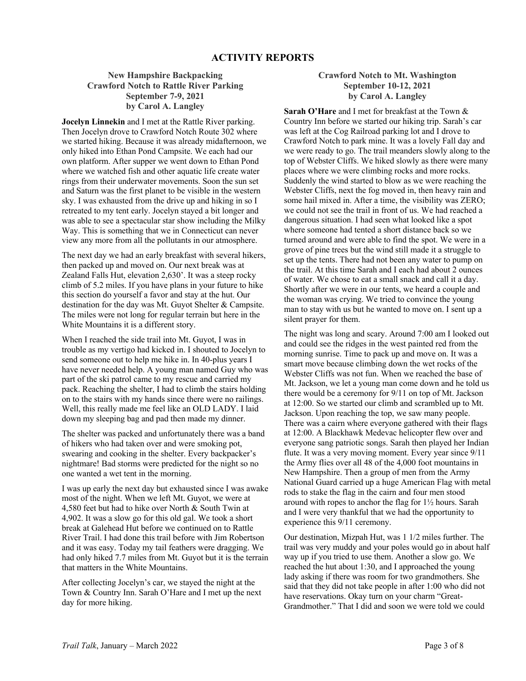# **New Hampshire Backpacking Crawford Notch to Rattle River Parking September 7-9, 2021 by Carol A. Langley**

**Jocelyn Linnekin** and I met at the Rattle River parking. Then Jocelyn drove to Crawford Notch Route 302 where we started hiking. Because it was already midafternoon, we only hiked into Ethan Pond Campsite. We each had our own platform. After supper we went down to Ethan Pond where we watched fish and other aquatic life create water rings from their underwater movements. Soon the sun set and Saturn was the first planet to be visible in the western sky. I was exhausted from the drive up and hiking in so I retreated to my tent early. Jocelyn stayed a bit longer and was able to see a spectacular star show including the Milky Way. This is something that we in Connecticut can never view any more from all the pollutants in our atmosphere.

The next day we had an early breakfast with several hikers, then packed up and moved on. Our next break was at Zealand Falls Hut, elevation 2,630'. It was a steep rocky climb of 5.2 miles. If you have plans in your future to hike this section do yourself a favor and stay at the hut. Our destination for the day was Mt. Guyot Shelter & Campsite. The miles were not long for regular terrain but here in the White Mountains it is a different story.

When I reached the side trail into Mt. Guyot, I was in trouble as my vertigo had kicked in. I shouted to Jocelyn to send someone out to help me hike in. In 40-plus years I have never needed help. A young man named Guy who was part of the ski patrol came to my rescue and carried my pack. Reaching the shelter, I had to climb the stairs holding on to the stairs with my hands since there were no railings. Well, this really made me feel like an OLD LADY. I laid down my sleeping bag and pad then made my dinner.

The shelter was packed and unfortunately there was a band of hikers who had taken over and were smoking pot, swearing and cooking in the shelter. Every backpacker's nightmare! Bad storms were predicted for the night so no one wanted a wet tent in the morning.

I was up early the next day but exhausted since I was awake most of the night. When we left Mt. Guyot, we were at 4,580 feet but had to hike over North & South Twin at 4,902. It was a slow go for this old gal. We took a short break at Galehead Hut before we continued on to Rattle River Trail. I had done this trail before with Jim Robertson and it was easy. Today my tail feathers were dragging. We had only hiked 7.7 miles from Mt. Guyot but it is the terrain that matters in the White Mountains.

After collecting Jocelyn's car, we stayed the night at the Town & Country Inn. Sarah O'Hare and I met up the next day for more hiking.

# **Crawford Notch to Mt. Washington September 10-12, 2021 by Carol A. Langley**

**Sarah O'Hare** and I met for breakfast at the Town & Country Inn before we started our hiking trip. Sarah's car was left at the Cog Railroad parking lot and I drove to Crawford Notch to park mine. It was a lovely Fall day and we were ready to go. The trail meanders slowly along to the top of Webster Cliffs. We hiked slowly as there were many places where we were climbing rocks and more rocks. Suddenly the wind started to blow as we were reaching the Webster Cliffs, next the fog moved in, then heavy rain and some hail mixed in. After a time, the visibility was ZERO; we could not see the trail in front of us. We had reached a dangerous situation. I had seen what looked like a spot where someone had tented a short distance back so we turned around and were able to find the spot. We were in a grove of pine trees but the wind still made it a struggle to set up the tents. There had not been any water to pump on the trail. At this time Sarah and I each had about 2 ounces of water. We chose to eat a small snack and call it a day. Shortly after we were in our tents, we heard a couple and the woman was crying. We tried to convince the young man to stay with us but he wanted to move on. I sent up a silent prayer for them.

The night was long and scary. Around 7:00 am I looked out and could see the ridges in the west painted red from the morning sunrise. Time to pack up and move on. It was a smart move because climbing down the wet rocks of the Webster Cliffs was not fun. When we reached the base of Mt. Jackson, we let a young man come down and he told us there would be a ceremony for 9/11 on top of Mt. Jackson at 12:00. So we started our climb and scrambled up to Mt. Jackson. Upon reaching the top, we saw many people. There was a cairn where everyone gathered with their flags at 12:00. A Blackhawk Medevac helicopter flew over and everyone sang patriotic songs. Sarah then played her Indian flute. It was a very moving moment. Every year since 9/11 the Army flies over all 48 of the 4,000 foot mountains in New Hampshire. Then a group of men from the Army National Guard carried up a huge American Flag with metal rods to stake the flag in the cairn and four men stood around with ropes to anchor the flag for 1½ hours. Sarah and I were very thankful that we had the opportunity to experience this 9/11 ceremony.

Our destination, Mizpah Hut, was 1 1/2 miles further. The trail was very muddy and your poles would go in about half way up if you tried to use them. Another a slow go. We reached the hut about 1:30, and I approached the young lady asking if there was room for two grandmothers. She said that they did not take people in after 1:00 who did not have reservations. Okay turn on your charm "Great-Grandmother." That I did and soon we were told we could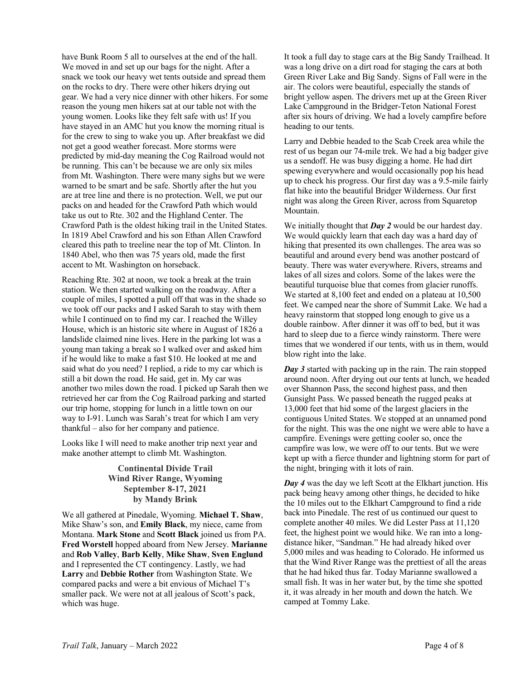have Bunk Room 5 all to ourselves at the end of the hall. We moved in and set up our bags for the night. After a snack we took our heavy wet tents outside and spread them on the rocks to dry. There were other hikers drying out gear. We had a very nice dinner with other hikers. For some reason the young men hikers sat at our table not with the young women. Looks like they felt safe with us! If you have stayed in an AMC hut you know the morning ritual is for the crew to sing to wake you up. After breakfast we did not get a good weather forecast. More storms were predicted by mid-day meaning the Cog Railroad would not be running. This can't be because we are only six miles from Mt. Washington. There were many sighs but we were warned to be smart and be safe. Shortly after the hut you are at tree line and there is no protection. Well, we put our packs on and headed for the Crawford Path which would take us out to Rte. 302 and the Highland Center. The Crawford Path is the oldest hiking trail in the United States. In 1819 Abel Crawford and his son Ethan Allen Crawford cleared this path to treeline near the top of Mt. Clinton. In 1840 Abel, who then was 75 years old, made the first accent to Mt. Washington on horseback.

Reaching Rte. 302 at noon, we took a break at the train station. We then started walking on the roadway. After a couple of miles, I spotted a pull off that was in the shade so we took off our packs and I asked Sarah to stay with them while I continued on to find my car. I reached the Willey House, which is an historic site where in August of 1826 a landslide claimed nine lives. Here in the parking lot was a young man taking a break so I walked over and asked him if he would like to make a fast \$10. He looked at me and said what do you need? I replied, a ride to my car which is still a bit down the road. He said, get in. My car was another two miles down the road. I picked up Sarah then we retrieved her car from the Cog Railroad parking and started our trip home, stopping for lunch in a little town on our way to I-91. Lunch was Sarah's treat for which I am very thankful – also for her company and patience.

Looks like I will need to make another trip next year and make another attempt to climb Mt. Washington.

### **Continental Divide Trail Wind River Range, Wyoming September 8-17, 2021 by Mandy Brink**

We all gathered at Pinedale, Wyoming. **Michael T. Shaw**, Mike Shaw's son, and **Emily Black**, my niece, came from Montana. **Mark Stone** and **Scott Black** joined us from PA. **Fred Worstell** hopped aboard from New Jersey. **Marianne** and **Rob Valley**, **Barb Kelly**, **Mike Shaw**, **Sven Englund** and I represented the CT contingency. Lastly, we had **Larry** and **Debbie Rother** from Washington State. We compared packs and were a bit envious of Michael T's smaller pack. We were not at all jealous of Scott's pack, which was huge.

It took a full day to stage cars at the Big Sandy Trailhead. It was a long drive on a dirt road for staging the cars at both Green River Lake and Big Sandy. Signs of Fall were in the air. The colors were beautiful, especially the stands of bright yellow aspen. The drivers met up at the Green River Lake Campground in the Bridger-Teton National Forest after six hours of driving. We had a lovely campfire before heading to our tents.

Larry and Debbie headed to the Scab Creek area while the rest of us began our 74-mile trek. We had a big badger give us a sendoff. He was busy digging a home. He had dirt spewing everywhere and would occasionally pop his head up to check his progress. Our first day was a 9.5-mile fairly flat hike into the beautiful Bridger Wilderness. Our first night was along the Green River, across from Squaretop Mountain.

We initially thought that *Day 2* would be our hardest day. We would quickly learn that each day was a hard day of hiking that presented its own challenges. The area was so beautiful and around every bend was another postcard of beauty. There was water everywhere. Rivers, streams and lakes of all sizes and colors. Some of the lakes were the beautiful turquoise blue that comes from glacier runoffs. We started at 8,100 feet and ended on a plateau at 10,500 feet. We camped near the shore of Summit Lake. We had a heavy rainstorm that stopped long enough to give us a double rainbow. After dinner it was off to bed, but it was hard to sleep due to a fierce windy rainstorm. There were times that we wondered if our tents, with us in them, would blow right into the lake.

*Day 3* started with packing up in the rain. The rain stopped around noon. After drying out our tents at lunch, we headed over Shannon Pass, the second highest pass, and then Gunsight Pass. We passed beneath the rugged peaks at 13,000 feet that hid some of the largest glaciers in the contiguous United States. We stopped at an unnamed pond for the night. This was the one night we were able to have a campfire. Evenings were getting cooler so, once the campfire was low, we were off to our tents. But we were kept up with a fierce thunder and lightning storm for part of the night, bringing with it lots of rain.

*Day 4* was the day we left Scott at the Elkhart junction. His pack being heavy among other things, he decided to hike the 10 miles out to the Elkhart Campground to find a ride back into Pinedale. The rest of us continued our quest to complete another 40 miles. We did Lester Pass at 11,120 feet, the highest point we would hike. We ran into a longdistance hiker, "Sandman." He had already hiked over 5,000 miles and was heading to Colorado. He informed us that the Wind River Range was the prettiest of all the areas that he had hiked thus far. Today Marianne swallowed a small fish. It was in her water but, by the time she spotted it, it was already in her mouth and down the hatch. We camped at Tommy Lake.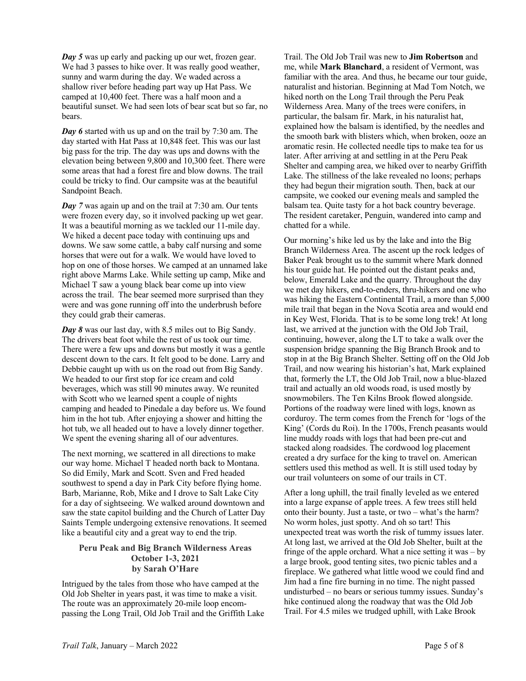*Day 5* was up early and packing up our wet, frozen gear. We had 3 passes to hike over. It was really good weather, sunny and warm during the day. We waded across a shallow river before heading part way up Hat Pass. We camped at 10,400 feet. There was a half moon and a beautiful sunset. We had seen lots of bear scat but so far, no bears.

*Day 6* started with us up and on the trail by 7:30 am. The day started with Hat Pass at 10,848 feet. This was our last big pass for the trip. The day was ups and downs with the elevation being between 9,800 and 10,300 feet. There were some areas that had a forest fire and blow downs. The trail could be tricky to find. Our campsite was at the beautiful Sandpoint Beach.

*Day* 7 was again up and on the trail at 7:30 am. Our tents were frozen every day, so it involved packing up wet gear. It was a beautiful morning as we tackled our 11-mile day. We hiked a decent pace today with continuing ups and downs. We saw some cattle, a baby calf nursing and some horses that were out for a walk. We would have loved to hop on one of those horses. We camped at an unnamed lake right above Marms Lake. While setting up camp, Mike and Michael T saw a young black bear come up into view across the trail. The bear seemed more surprised than they were and was gone running off into the underbrush before they could grab their cameras.

*Day 8* was our last day, with 8.5 miles out to Big Sandy. The drivers beat foot while the rest of us took our time. There were a few ups and downs but mostly it was a gentle descent down to the cars. It felt good to be done. Larry and Debbie caught up with us on the road out from Big Sandy. We headed to our first stop for ice cream and cold beverages, which was still 90 minutes away. We reunited with Scott who we learned spent a couple of nights camping and headed to Pinedale a day before us. We found him in the hot tub. After enjoying a shower and hitting the hot tub, we all headed out to have a lovely dinner together. We spent the evening sharing all of our adventures.

The next morning, we scattered in all directions to make our way home. Michael T headed north back to Montana. So did Emily, Mark and Scott. Sven and Fred headed southwest to spend a day in Park City before flying home. Barb, Marianne, Rob, Mike and I drove to Salt Lake City for a day of sightseeing. We walked around downtown and saw the state capitol building and the Church of Latter Day Saints Temple undergoing extensive renovations. It seemed like a beautiful city and a great way to end the trip.

### **Peru Peak and Big Branch Wilderness Areas October 1-3, 2021 by Sarah O'Hare**

Intrigued by the tales from those who have camped at the Old Job Shelter in years past, it was time to make a visit. The route was an approximately 20-mile loop encompassing the Long Trail, Old Job Trail and the Griffith Lake Trail. The Old Job Trail was new to **Jim Robertson** and me, while **Mark Blanchard**, a resident of Vermont, was familiar with the area. And thus, he became our tour guide, naturalist and historian. Beginning at Mad Tom Notch, we hiked north on the Long Trail through the Peru Peak Wilderness Area. Many of the trees were conifers, in particular, the balsam fir. Mark, in his naturalist hat, explained how the balsam is identified, by the needles and the smooth bark with blisters which, when broken, ooze an aromatic resin. He collected needle tips to make tea for us later. After arriving at and settling in at the Peru Peak Shelter and camping area, we hiked over to nearby Griffith Lake. The stillness of the lake revealed no loons; perhaps they had begun their migration south. Then, back at our campsite, we cooked our evening meals and sampled the balsam tea. Quite tasty for a hot back country beverage. The resident caretaker, Penguin, wandered into camp and chatted for a while.

Our morning's hike led us by the lake and into the Big Branch Wilderness Area. The ascent up the rock ledges of Baker Peak brought us to the summit where Mark donned his tour guide hat. He pointed out the distant peaks and, below, Emerald Lake and the quarry. Throughout the day we met day hikers, end-to-enders, thru-hikers and one who was hiking the Eastern Continental Trail, a more than 5,000 mile trail that began in the Nova Scotia area and would end in Key West, Florida. That is to be some long trek! At long last, we arrived at the junction with the Old Job Trail, continuing, however, along the LT to take a walk over the suspension bridge spanning the Big Branch Brook and to stop in at the Big Branch Shelter. Setting off on the Old Job Trail, and now wearing his historian's hat, Mark explained that, formerly the LT, the Old Job Trail, now a blue-blazed trail and actually an old woods road, is used mostly by snowmobilers. The Ten Kilns Brook flowed alongside. Portions of the roadway were lined with logs, known as corduroy. The term comes from the French for 'logs of the King' (Cords du Roi). In the 1700s, French peasants would line muddy roads with logs that had been pre-cut and stacked along roadsides. The cordwood log placement created a dry surface for the king to travel on. American settlers used this method as well. It is still used today by our trail volunteers on some of our trails in CT.

After a long uphill, the trail finally leveled as we entered into a large expanse of apple trees. A few trees still held onto their bounty. Just a taste, or two – what's the harm? No worm holes, just spotty. And oh so tart! This unexpected treat was worth the risk of tummy issues later. At long last, we arrived at the Old Job Shelter, built at the fringe of the apple orchard. What a nice setting it was – by a large brook, good tenting sites, two picnic tables and a fireplace. We gathered what little wood we could find and Jim had a fine fire burning in no time. The night passed undisturbed – no bears or serious tummy issues. Sunday's hike continued along the roadway that was the Old Job Trail. For 4.5 miles we trudged uphill, with Lake Brook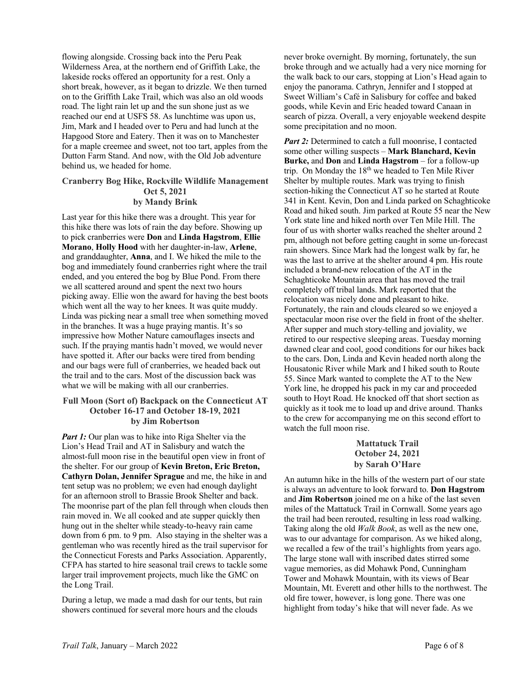flowing alongside. Crossing back into the Peru Peak Wilderness Area, at the northern end of Griffith Lake, the lakeside rocks offered an opportunity for a rest. Only a short break, however, as it began to drizzle. We then turned on to the Griffith Lake Trail, which was also an old woods road. The light rain let up and the sun shone just as we reached our end at USFS 58. As lunchtime was upon us, Jim, Mark and I headed over to Peru and had lunch at the Hapgood Store and Eatery. Then it was on to Manchester for a maple creemee and sweet, not too tart, apples from the Dutton Farm Stand. And now, with the Old Job adventure behind us, we headed for home.

#### **Cranberry Bog Hike, Rockville Wildlife Management Oct 5, 2021 by Mandy Brink**

Last year for this hike there was a drought. This year for this hike there was lots of rain the day before. Showing up to pick cranberries were **Don** and **Linda Hagstrom**, **Ellie Morano**, **Holly Hood** with her daughter-in-law, **Arlene**, and granddaughter, **Anna**, and I. We hiked the mile to the bog and immediately found cranberries right where the trail ended, and you entered the bog by Blue Pond. From there we all scattered around and spent the next two hours picking away. Ellie won the award for having the best boots which went all the way to her knees. It was quite muddy. Linda was picking near a small tree when something moved in the branches. It was a huge praying mantis. It's so impressive how Mother Nature camouflages insects and such. If the praying mantis hadn't moved, we would never have spotted it. After our backs were tired from bending and our bags were full of cranberries, we headed back out the trail and to the cars. Most of the discussion back was what we will be making with all our cranberries.

### **Full Moon (Sort of) Backpack on the Connecticut AT October 16-17 and October 18-19, 2021 by Jim Robertson**

*Part 1:* Our plan was to hike into Riga Shelter via the Lion's Head Trail and AT in Salisbury and watch the almost-full moon rise in the beautiful open view in front of the shelter. For our group of **Kevin Breton, Eric Breton, Cathyrn Dolan, Jennifer Sprague** and me, the hike in and tent setup was no problem; we even had enough daylight for an afternoon stroll to Brassie Brook Shelter and back. The moonrise part of the plan fell through when clouds then rain moved in. We all cooked and ate supper quickly then hung out in the shelter while steady-to-heavy rain came down from 6 pm. to 9 pm. Also staying in the shelter was a gentleman who was recently hired as the trail supervisor for the Connecticut Forests and Parks Association. Apparently, CFPA has started to hire seasonal trail crews to tackle some larger trail improvement projects, much like the GMC on the Long Trail.

During a letup, we made a mad dash for our tents, but rain showers continued for several more hours and the clouds

never broke overnight. By morning, fortunately, the sun broke through and we actually had a very nice morning for the walk back to our cars, stopping at Lion's Head again to enjoy the panorama. Cathryn, Jennifer and I stopped at Sweet William's Café in Salisbury for coffee and baked goods, while Kevin and Eric headed toward Canaan in search of pizza. Overall, a very enjoyable weekend despite some precipitation and no moon.

Part 2: Determined to catch a full moonrise, I contacted some other willing suspects – **Mark Blanchard, Kevin Burke,** and **Don** and **Linda Hagstrom** – for a follow-up trip. On Monday the  $18<sup>th</sup>$  we headed to Ten Mile River Shelter by multiple routes. Mark was trying to finish section-hiking the Connecticut AT so he started at Route 341 in Kent. Kevin, Don and Linda parked on Schaghticoke Road and hiked south. Jim parked at Route 55 near the New York state line and hiked north over Ten Mile Hill. The four of us with shorter walks reached the shelter around 2 pm, although not before getting caught in some un-forecast rain showers. Since Mark had the longest walk by far, he was the last to arrive at the shelter around 4 pm. His route included a brand-new relocation of the AT in the Schaghticoke Mountain area that has moved the trail completely off tribal lands. Mark reported that the relocation was nicely done and pleasant to hike. Fortunately, the rain and clouds cleared so we enjoyed a spectacular moon rise over the field in front of the shelter. After supper and much story-telling and joviality, we retired to our respective sleeping areas. Tuesday morning dawned clear and cool, good conditions for our hikes back to the cars. Don, Linda and Kevin headed north along the Housatonic River while Mark and I hiked south to Route 55. Since Mark wanted to complete the AT to the New York line, he dropped his pack in my car and proceeded south to Hoyt Road. He knocked off that short section as quickly as it took me to load up and drive around. Thanks to the crew for accompanying me on this second effort to watch the full moon rise.

# **Mattatuck Trail October 24, 2021 by Sarah O'Hare**

An autumn hike in the hills of the western part of our state is always an adventure to look forward to. **Don Hagstrom** and **Jim Robertson** joined me on a hike of the last seven miles of the Mattatuck Trail in Cornwall. Some years ago the trail had been rerouted, resulting in less road walking. Taking along the old *Walk Book*, as well as the new one, was to our advantage for comparison. As we hiked along, we recalled a few of the trail's highlights from years ago. The large stone wall with inscribed dates stirred some vague memories, as did Mohawk Pond, Cunningham Tower and Mohawk Mountain, with its views of Bear Mountain, Mt. Everett and other hills to the northwest. The old fire tower, however, is long gone. There was one highlight from today's hike that will never fade. As we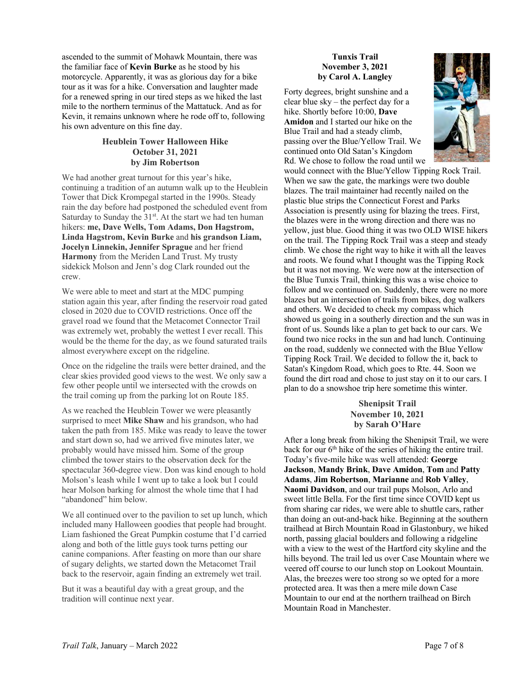ascended to the summit of Mohawk Mountain, there was the familiar face of **Kevin Burke** as he stood by his motorcycle. Apparently, it was as glorious day for a bike tour as it was for a hike. Conversation and laughter made for a renewed spring in our tired steps as we hiked the last mile to the northern terminus of the Mattatuck. And as for Kevin, it remains unknown where he rode off to, following his own adventure on this fine day.

# **Heublein Tower Halloween Hike October 31, 2021 by Jim Robertson**

We had another great turnout for this year's hike, continuing a tradition of an autumn walk up to the Heublein Tower that Dick Krompegal started in the 1990s. Steady rain the day before had postponed the scheduled event from Saturday to Sunday the 31<sup>st</sup>. At the start we had ten human hikers: **me, Dave Wells, Tom Adams, Don Hagstrom, Linda Hagstrom, Kevin Burke** and **his grandson Liam, Jocelyn Linnekin, Jennifer Sprague** and her friend **Harmony** from the Meriden Land Trust. My trusty sidekick Molson and Jenn's dog Clark rounded out the crew.

We were able to meet and start at the MDC pumping station again this year, after finding the reservoir road gated closed in 2020 due to COVID restrictions. Once off the gravel road we found that the Metacomet Connector Trail was extremely wet, probably the wettest I ever recall. This would be the theme for the day, as we found saturated trails almost everywhere except on the ridgeline.

Once on the ridgeline the trails were better drained, and the clear skies provided good views to the west. We only saw a few other people until we intersected with the crowds on the trail coming up from the parking lot on Route 185.

As we reached the Heublein Tower we were pleasantly surprised to meet **Mike Shaw** and his grandson, who had taken the path from 185. Mike was ready to leave the tower and start down so, had we arrived five minutes later, we probably would have missed him. Some of the group climbed the tower stairs to the observation deck for the spectacular 360-degree view. Don was kind enough to hold Molson's leash while I went up to take a look but I could hear Molson barking for almost the whole time that I had "abandoned" him below.

We all continued over to the pavilion to set up lunch, which included many Halloween goodies that people had brought. Liam fashioned the Great Pumpkin costume that I'd carried along and both of the little guys took turns petting our canine companions. After feasting on more than our share of sugary delights, we started down the Metacomet Trail back to the reservoir, again finding an extremely wet trail.

But it was a beautiful day with a great group, and the tradition will continue next year.

## **Tunxis Trail November 3, 2021 by Carol A. Langley**

Forty degrees, bright sunshine and a clear blue sky – the perfect day for a hike. Shortly before 10:00, **Dave Amidon** and I started our hike on the Blue Trail and had a steady climb, passing over the Blue/Yellow Trail. We continued onto Old Satan's Kingdom Rd. We chose to follow the road until we



would connect with the Blue/Yellow Tipping Rock Trail. When we saw the gate, the markings were two double blazes. The trail maintainer had recently nailed on the plastic blue strips the Connecticut Forest and Parks Association is presently using for blazing the trees. First, the blazes were in the wrong direction and there was no yellow, just blue. Good thing it was two OLD WISE hikers on the trail. The Tipping Rock Trail was a steep and steady climb. We chose the right way to hike it with all the leaves and roots. We found what I thought was the Tipping Rock but it was not moving. We were now at the intersection of the Blue Tunxis Trail, thinking this was a wise choice to follow and we continued on. Suddenly, there were no more blazes but an intersection of trails from bikes, dog walkers and others. We decided to check my compass which showed us going in a southerly direction and the sun was in front of us. Sounds like a plan to get back to our cars. We found two nice rocks in the sun and had lunch. Continuing on the road, suddenly we connected with the Blue Yellow Tipping Rock Trail. We decided to follow the it, back to Satan's Kingdom Road, which goes to Rte. 44. Soon we found the dirt road and chose to just stay on it to our cars. I plan to do a snowshoe trip here sometime this winter.

> **Shenipsit Trail November 10, 2021 by Sarah O'Hare**

After a long break from hiking the Shenipsit Trail, we were back for our  $6<sup>th</sup>$  hike of the series of hiking the entire trail. Today's five-mile hike was well attended: **George Jackson**, **Mandy Brink**, **Dave Amidon**, **Tom** and **Patty Adams**, **Jim Robertson**, **Marianne** and **Rob Valley**, **Naomi Davidson**, and our trail pups Molson, Arlo and sweet little Bella. For the first time since COVID kept us from sharing car rides, we were able to shuttle cars, rather than doing an out-and-back hike. Beginning at the southern trailhead at Birch Mountain Road in Glastonbury, we hiked north, passing glacial boulders and following a ridgeline with a view to the west of the Hartford city skyline and the hills beyond. The trail led us over Case Mountain where we veered off course to our lunch stop on Lookout Mountain. Alas, the breezes were too strong so we opted for a more protected area. It was then a mere mile down Case Mountain to our end at the northern trailhead on Birch Mountain Road in Manchester.